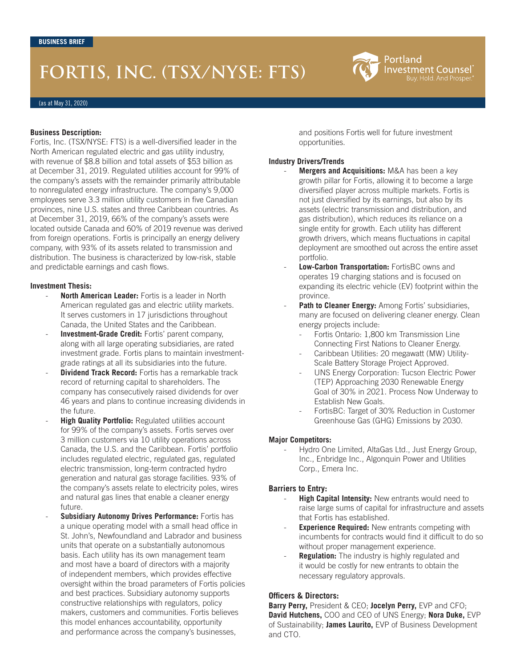# **FORTIS, INC. (TSX/NYSE: FTS)**

(as at May 31, 2020)

#### **Business Description:**

Fortis, Inc. (TSX/NYSE: FTS) is a well-diversified leader in the North American regulated electric and gas utility industry, with revenue of \$8.8 billion and total assets of \$53 billion as at December 31, 2019. Regulated utilities account for 99% of the company's assets with the remainder primarily attributable to nonregulated energy infrastructure. The company's 9,000 employees serve 3.3 million utility customers in five Canadian provinces, nine U.S. states and three Caribbean countries. As at December 31, 2019, 66% of the company's assets were located outside Canada and 60% of 2019 revenue was derived from foreign operations. Fortis is principally an energy delivery company, with 93% of its assets related to transmission and distribution. The business is characterized by low-risk, stable and predictable earnings and cash flows.

#### **Investment Thesis:**

- **North American Leader:** Fortis is a leader in North American regulated gas and electric utility markets. It serves customers in 17 jurisdictions throughout Canada, the United States and the Caribbean.
- **Investment-Grade Credit:** Fortis' parent company, along with all large operating subsidiaries, are rated investment grade. Fortis plans to maintain investmentgrade ratings at all its subsidiaries into the future.
- **Dividend Track Record:** Fortis has a remarkable track record of returning capital to shareholders. The company has consecutively raised dividends for over 46 years and plans to continue increasing dividends in the future.
- **High Quality Portfolio:** Regulated utilities account for 99% of the company's assets. Fortis serves over 3 million customers via 10 utility operations across Canada, the U.S. and the Caribbean. Fortis' portfolio includes regulated electric, regulated gas, regulated electric transmission, long-term contracted hydro generation and natural gas storage facilities. 93% of the company's assets relate to electricity poles, wires and natural gas lines that enable a cleaner energy future.
- **Subsidiary Autonomy Drives Performance: Fortis has** a unique operating model with a small head office in St. John's, Newfoundland and Labrador and business units that operate on a substantially autonomous basis. Each utility has its own management team and most have a board of directors with a majority of independent members, which provides effective oversight within the broad parameters of Fortis policies and best practices. Subsidiary autonomy supports constructive relationships with regulators, policy makers, customers and communities. Fortis believes this model enhances accountability, opportunity and performance across the company's businesses,

and positions Fortis well for future investment opportunities.

Portland

Investment Counsel Buy. Hold. And Prosper.'

#### **Industry Drivers/Trends**

- Mergers and Acquisitions: M&A has been a key growth pillar for Fortis, allowing it to become a large diversified player across multiple markets. Fortis is not just diversified by its earnings, but also by its assets (electric transmission and distribution, and gas distribution), which reduces its reliance on a single entity for growth. Each utility has different growth drivers, which means fluctuations in capital deployment are smoothed out across the entire asset portfolio.
- **Low-Carbon Transportation: FortisBC owns and** operates 19 charging stations and is focused on expanding its electric vehicle (EV) footprint within the province.
- Path to Cleaner Energy: Among Fortis' subsidiaries, many are focused on delivering cleaner energy. Clean energy projects include:
	- Fortis Ontario: 1,800 km Transmission Line Connecting First Nations to Cleaner Energy.
	- Caribbean Utilities: 20 megawatt (MW) Utility-Scale Battery Storage Project Approved.
	- UNS Energy Corporation: Tucson Electric Power (TEP) Approaching 2030 Renewable Energy Goal of 30% in 2021. Process Now Underway to Establish New Goals.
	- FortisBC: Target of 30% Reduction in Customer Greenhouse Gas (GHG) Emissions by 2030.

## **Major Competitors:**

Hydro One Limited, AltaGas Ltd., Just Energy Group, Inc., Enbridge Inc., Algonquin Power and Utilities Corp., Emera Inc.

## **Barriers to Entry:**

- **High Capital Intensity:** New entrants would need to raise large sums of capital for infrastructure and assets that Fortis has established.
- **Experience Required:** New entrants competing with incumbents for contracts would find it difficult to do so without proper management experience.
- **Regulation:** The industry is highly regulated and it would be costly for new entrants to obtain the necessary regulatory approvals.

## **Officers & Directors:**

**Barry Perry,** President & CEO; **Jocelyn Perry,** EVP and CFO; **David Hutchens,** COO and CEO of UNS Energy; **Nora Duke,** EVP of Sustainability; **James Laurito,** EVP of Business Development and CTO.